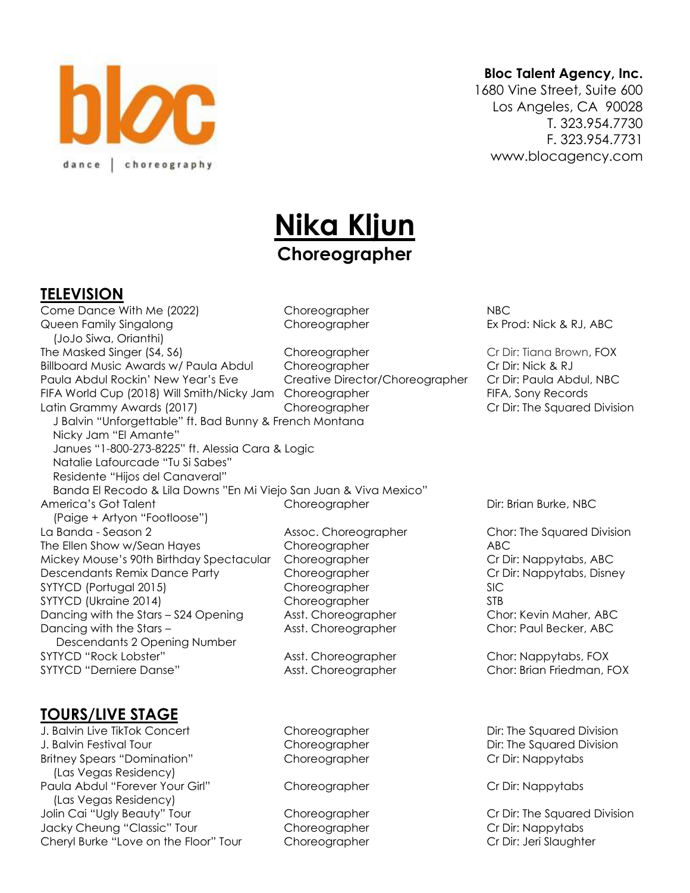

#### **Bloc Talent Agency, Inc.**

1680 Vine Street, Suite 600 Los Angeles, CA 90028 T. 323.954.7730 F. 323.954.7731 www.blocagency.com

# **Nika Kljun Choreographer**

#### **TELEVISION**

Come Dance With Me (2022) Choreographer NBC Queen Family Singalong and Choreographer **Ex Prod: Nick & RJ, ABC**  (JoJo Siwa, Orianthi) The Masked Singer (S4, S6) Choreographer Cr Dir: Tiana Brown, FOX Billboard Music Awards w/ Paula Abdul Choreographer Cr Dir: Nick & RJ Paula Abdul Rockin' New Year's Eve Creative Director/Choreographer Cr Dir: Paula Abdul, NBC FIFA World Cup (2018) Will Smith/Nicky Jam Choreographer FIFA, Sony Records Latin Grammy Awards (2017) Choreographer Cr Dir: The Squared Division J Balvin "Unforgettable" ft. Bad Bunny & French Montana Nicky Jam "El Amante" Janues "1-800-273-8225" ft. Alessia Cara & Logic Natalie Lafourcade "Tu Si Sabes" Residente "Hijos del Canaveral" Banda El Recodo & Lila Downs "En Mi Viejo San Juan & Viva Mexico" America's Got Talent **Choreographer** Choreographer Dir: Brian Burke, NBC (Paige + Artyon "Footloose") La Banda - Season 2 **Assoc. Choreographer** Chor: The Squared Division The Ellen Show w/Sean Hayes Choreographer ABC Mickey Mouse's 90th Birthday Spectacular Choreographer Cr Dir: Nappytabs, ABC Descendants Remix Dance Party Choreographer Cr Dir: Nappytabs, Disney SYTYCD (Portugal 2015) Choreographer SIC SYTYCD (Ukraine 2014) Choreographer STB Dancing with the Stars – S24 Opening Asst. Choreographer Chor: Kevin Maher, ABC Dancing with the Stars – The Asst. Choreographer Chor: Paul Becker, ABC Descendants 2 Opening Number SYTYCD "Rock Lobster" Asst. Choreographer Chor: Nappytabs, FOX SYTYCD "Derniere Danse" Asst. Choreographer Chor: Brian Friedman, FOX

# **TOURS/LIVE STAGE**

J. Balvin Live TikTok Concert Choreographer Choreographer Dir: The Squared Division J. Balvin Festival Tour Choreographer Dir: The Squared Division Britney Spears "Domination" Choreographer Choreographer Cr Dir: Nappytabs (Las Vegas Residency) Paula Abdul "Forever Your Girl" Choreographer Cr Dir: Nappytabs (Las Vegas Residency) Jolin Cai "Ugly Beauty" Tour Choreographer Cr Dir: The Squared Division Jacky Cheung "Classic" Tour Choreographer Cr Dir: Nappytabs Cheryl Burke "Love on the Floor" Tour Choreographer Cr Dir: Jeri Slaughter